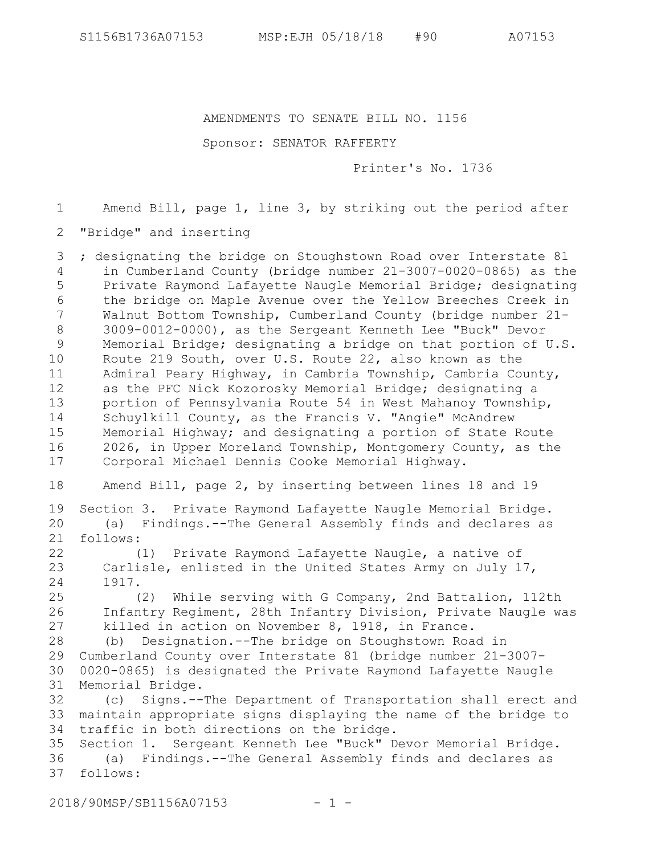AMENDMENTS TO SENATE BILL NO. 1156

Sponsor: SENATOR RAFFERTY

Printer's No. 1736

Amend Bill, page 1, line 3, by striking out the period after 1

"Bridge" and inserting 2

; designating the bridge on Stoughstown Road over Interstate 81 in Cumberland County (bridge number 21-3007-0020-0865) as the Private Raymond Lafayette Naugle Memorial Bridge; designating the bridge on Maple Avenue over the Yellow Breeches Creek in Walnut Bottom Township, Cumberland County (bridge number 21- 3009-0012-0000), as the Sergeant Kenneth Lee "Buck" Devor Memorial Bridge; designating a bridge on that portion of U.S. Route 219 South, over U.S. Route 22, also known as the Admiral Peary Highway, in Cambria Township, Cambria County, as the PFC Nick Kozorosky Memorial Bridge; designating a portion of Pennsylvania Route 54 in West Mahanoy Township, Schuylkill County, as the Francis V. "Angie" McAndrew Memorial Highway; and designating a portion of State Route 2026, in Upper Moreland Township, Montgomery County, as the Corporal Michael Dennis Cooke Memorial Highway. 3 4 5 6 7 8 9 10 11 12 13 14 15 16 17

Amend Bill, page 2, by inserting between lines 18 and 19 18

Section 3. Private Raymond Lafayette Naugle Memorial Bridge. (a) Findings.--The General Assembly finds and declares as follows: 19 20 21

(1) Private Raymond Lafayette Naugle, a native of Carlisle, enlisted in the United States Army on July 17, 1917. 22 23 24

(2) While serving with G Company, 2nd Battalion, 112th Infantry Regiment, 28th Infantry Division, Private Naugle was killed in action on November 8, 1918, in France. 25 26 27

(b) Designation.--The bridge on Stoughstown Road in Cumberland County over Interstate 81 (bridge number 21-3007- 0020-0865) is designated the Private Raymond Lafayette Naugle Memorial Bridge. 28 29 30 31

(c) Signs.--The Department of Transportation shall erect and maintain appropriate signs displaying the name of the bridge to 33 traffic in both directions on the bridge. 32 34

Section 1. Sergeant Kenneth Lee "Buck" Devor Memorial Bridge. (a) Findings.--The General Assembly finds and declares as follows: 3735 36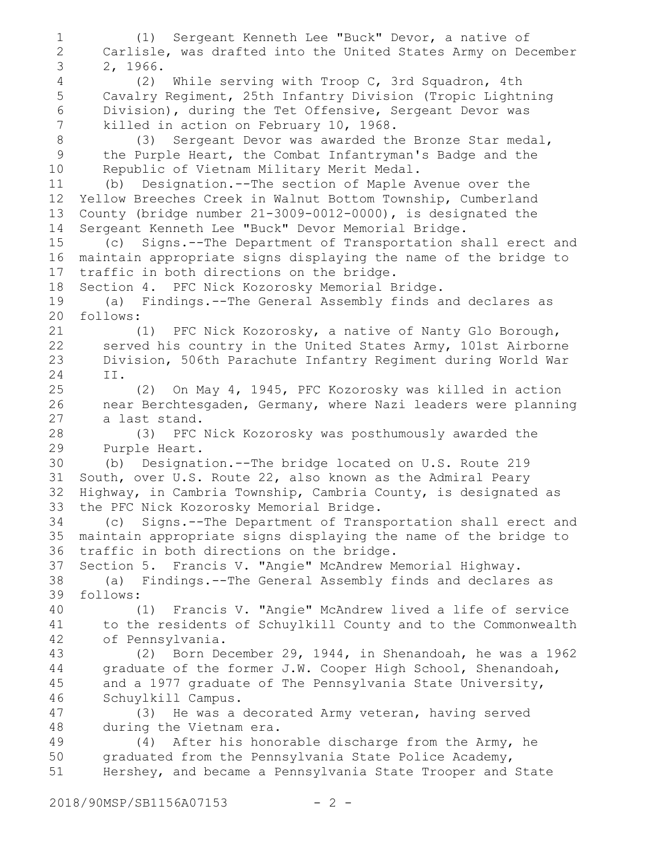(1) Sergeant Kenneth Lee "Buck" Devor, a native of Carlisle, was drafted into the United States Army on December 2, 1966. (2) While serving with Troop C, 3rd Squadron, 4th Cavalry Regiment, 25th Infantry Division (Tropic Lightning Division), during the Tet Offensive, Sergeant Devor was killed in action on February 10, 1968. (3) Sergeant Devor was awarded the Bronze Star medal, the Purple Heart, the Combat Infantryman's Badge and the Republic of Vietnam Military Merit Medal. (b) Designation.--The section of Maple Avenue over the Yellow Breeches Creek in Walnut Bottom Township, Cumberland County (bridge number 21-3009-0012-0000), is designated the Sergeant Kenneth Lee "Buck" Devor Memorial Bridge. (c) Signs.--The Department of Transportation shall erect and maintain appropriate signs displaying the name of the bridge to traffic in both directions on the bridge. Section 4. PFC Nick Kozorosky Memorial Bridge. (a) Findings.--The General Assembly finds and declares as follows: (1) PFC Nick Kozorosky, a native of Nanty Glo Borough, served his country in the United States Army, 101st Airborne Division, 506th Parachute Infantry Regiment during World War II. (2) On May 4, 1945, PFC Kozorosky was killed in action near Berchtesgaden, Germany, where Nazi leaders were planning a last stand. (3) PFC Nick Kozorosky was posthumously awarded the Purple Heart. (b) Designation.--The bridge located on U.S. Route 219 South, over U.S. Route 22, also known as the Admiral Peary Highway, in Cambria Township, Cambria County, is designated as the PFC Nick Kozorosky Memorial Bridge. (c) Signs.--The Department of Transportation shall erect and maintain appropriate signs displaying the name of the bridge to traffic in both directions on the bridge. Section 5. Francis V. "Angie" McAndrew Memorial Highway. (a) Findings.--The General Assembly finds and declares as follows: (1) Francis V. "Angie" McAndrew lived a life of service to the residents of Schuylkill County and to the Commonwealth of Pennsylvania. (2) Born December 29, 1944, in Shenandoah, he was a 1962 graduate of the former J.W. Cooper High School, Shenandoah, and a 1977 graduate of The Pennsylvania State University, Schuylkill Campus. (3) He was a decorated Army veteran, having served during the Vietnam era. (4) After his honorable discharge from the Army, he graduated from the Pennsylvania State Police Academy, Hershey, and became a Pennsylvania State Trooper and State 1 2 3 4 5 6 7 8 9 10 11 12 13 14 15 16 17 18 19 20 21 22 23 24 25 26 27 28 29 30 31 32 33 34 35 36 37 38 39 40 41 42 43 44 45 46 47 48 49 50 51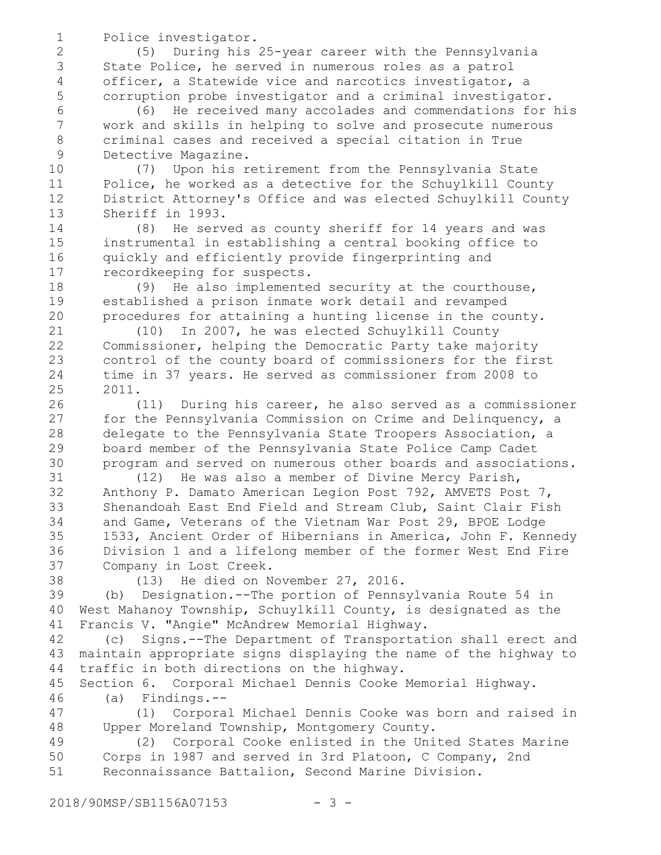Police investigator.

18 19 20

(5) During his 25-year career with the Pennsylvania State Police, he served in numerous roles as a patrol officer, a Statewide vice and narcotics investigator, a corruption probe investigator and a criminal investigator.

(6) He received many accolades and commendations for his work and skills in helping to solve and prosecute numerous criminal cases and received a special citation in True Detective Magazine.

(7) Upon his retirement from the Pennsylvania State Police, he worked as a detective for the Schuylkill County District Attorney's Office and was elected Schuylkill County Sheriff in 1993. 10 11 12 13

(8) He served as county sheriff for 14 years and was instrumental in establishing a central booking office to quickly and efficiently provide fingerprinting and recordkeeping for suspects. 14 15 16 17

(9) He also implemented security at the courthouse, established a prison inmate work detail and revamped procedures for attaining a hunting license in the county.

(10) In 2007, he was elected Schuylkill County Commissioner, helping the Democratic Party take majority control of the county board of commissioners for the first time in 37 years. He served as commissioner from 2008 to 2011. 21 22 23 24 25

(11) During his career, he also served as a commissioner for the Pennsylvania Commission on Crime and Delinquency, a delegate to the Pennsylvania State Troopers Association, a board member of the Pennsylvania State Police Camp Cadet program and served on numerous other boards and associations. 26 27 28 29 30

(12) He was also a member of Divine Mercy Parish, Anthony P. Damato American Legion Post 792, AMVETS Post 7, Shenandoah East End Field and Stream Club, Saint Clair Fish and Game, Veterans of the Vietnam War Post 29, BPOE Lodge 1533, Ancient Order of Hibernians in America, John F. Kennedy Division 1 and a lifelong member of the former West End Fire Company in Lost Creek. 31 32 33 34 35 36 37

38

(13) He died on November 27, 2016.

(b) Designation.--The portion of Pennsylvania Route 54 in West Mahanoy Township, Schuylkill County, is designated as the Francis V. "Angie" McAndrew Memorial Highway. 39 40 41

(c) Signs.--The Department of Transportation shall erect and maintain appropriate signs displaying the name of the highway to traffic in both directions on the highway. 42 43 44

Section 6. Corporal Michael Dennis Cooke Memorial Highway. (a) Findings.-- 45 46

(1) Corporal Michael Dennis Cooke was born and raised in Upper Moreland Township, Montgomery County. 47 48

(2) Corporal Cooke enlisted in the United States Marine Corps in 1987 and served in 3rd Platoon, C Company, 2nd Reconnaissance Battalion, Second Marine Division. 49 50 51